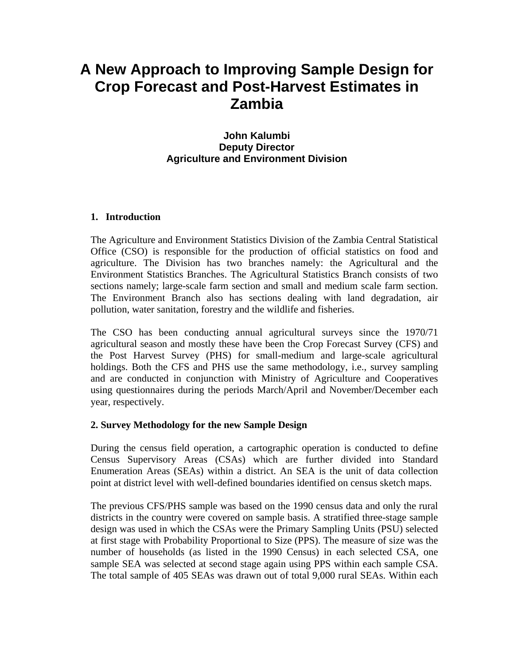# **A New Approach to Improving Sample Design for Crop Forecast and Post-Harvest Estimates in Zambia**

**John Kalumbi Deputy Director Agriculture and Environment Division**

# **1. Introduction**

The Agriculture and Environment Statistics Division of the Zambia Central Statistical Office (CSO) is responsible for the production of official statistics on food and agriculture. The Division has two branches namely: the Agricultural and the Environment Statistics Branches. The Agricultural Statistics Branch consists of two sections namely; large-scale farm section and small and medium scale farm section. The Environment Branch also has sections dealing with land degradation, air pollution, water sanitation, forestry and the wildlife and fisheries.

The CSO has been conducting annual agricultural surveys since the 1970/71 agricultural season and mostly these have been the Crop Forecast Survey (CFS) and the Post Harvest Survey (PHS) for small-medium and large-scale agricultural holdings. Both the CFS and PHS use the same methodology, i.e., survey sampling and are conducted in conjunction with Ministry of Agriculture and Cooperatives using questionnaires during the periods March/April and November/December each year, respectively.

### **2. Survey Methodology for the new Sample Design**

During the census field operation, a cartographic operation is conducted to define Census Supervisory Areas (CSAs) which are further divided into Standard Enumeration Areas (SEAs) within a district. An SEA is the unit of data collection point at district level with well-defined boundaries identified on census sketch maps.

The previous CFS/PHS sample was based on the 1990 census data and only the rural districts in the country were covered on sample basis. A stratified three-stage sample design was used in which the CSAs were the Primary Sampling Units (PSU) selected at first stage with Probability Proportional to Size (PPS). The measure of size was the number of households (as listed in the 1990 Census) in each selected CSA, one sample SEA was selected at second stage again using PPS within each sample CSA. The total sample of 405 SEAs was drawn out of total 9,000 rural SEAs. Within each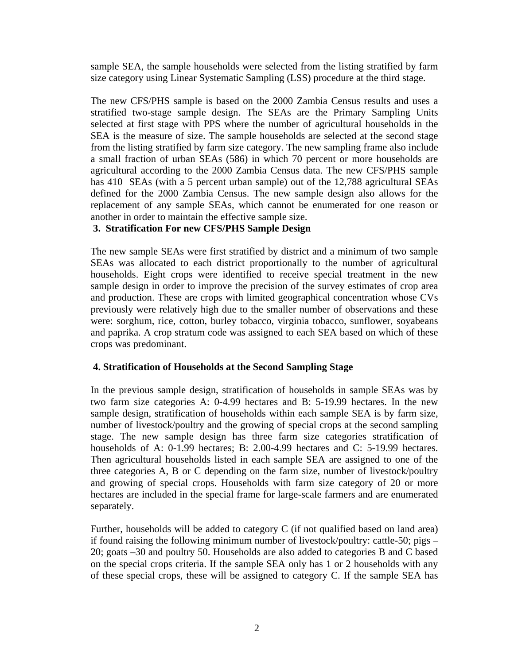sample SEA, the sample households were selected from the listing stratified by farm size category using Linear Systematic Sampling (LSS) procedure at the third stage.

The new CFS/PHS sample is based on the 2000 Zambia Census results and uses a stratified two-stage sample design. The SEAs are the Primary Sampling Units selected at first stage with PPS where the number of agricultural households in the SEA is the measure of size. The sample households are selected at the second stage from the listing stratified by farm size category. The new sampling frame also include a small fraction of urban SEAs (586) in which 70 percent or more households are agricultural according to the 2000 Zambia Census data. The new CFS/PHS sample has 410 SEAs (with a 5 percent urban sample) out of the 12,788 agricultural SEAs defined for the 2000 Zambia Census. The new sample design also allows for the replacement of any sample SEAs, which cannot be enumerated for one reason or another in order to maintain the effective sample size.

### **3. Stratification For new CFS/PHS Sample Design**

The new sample SEAs were first stratified by district and a minimum of two sample SEAs was allocated to each district proportionally to the number of agricultural households. Eight crops were identified to receive special treatment in the new sample design in order to improve the precision of the survey estimates of crop area and production. These are crops with limited geographical concentration whose CVs previously were relatively high due to the smaller number of observations and these were: sorghum, rice, cotton, burley tobacco, virginia tobacco, sunflower, soyabeans and paprika. A crop stratum code was assigned to each SEA based on which of these crops was predominant.

### **4. Stratification of Households at the Second Sampling Stage**

In the previous sample design, stratification of households in sample SEAs was by two farm size categories A: 0-4.99 hectares and B: 5-19.99 hectares. In the new sample design, stratification of households within each sample SEA is by farm size, number of livestock/poultry and the growing of special crops at the second sampling stage. The new sample design has three farm size categories stratification of households of A: 0-1.99 hectares; B: 2.00-4.99 hectares and C: 5-19.99 hectares. Then agricultural households listed in each sample SEA are assigned to one of the three categories A, B or C depending on the farm size, number of livestock/poultry and growing of special crops. Households with farm size category of 20 or more hectares are included in the special frame for large-scale farmers and are enumerated separately.

Further, households will be added to category C (if not qualified based on land area) if found raising the following minimum number of livestock/poultry: cattle-50; pigs – 20; goats –30 and poultry 50. Households are also added to categories B and C based on the special crops criteria. If the sample SEA only has 1 or 2 households with any of these special crops, these will be assigned to category C. If the sample SEA has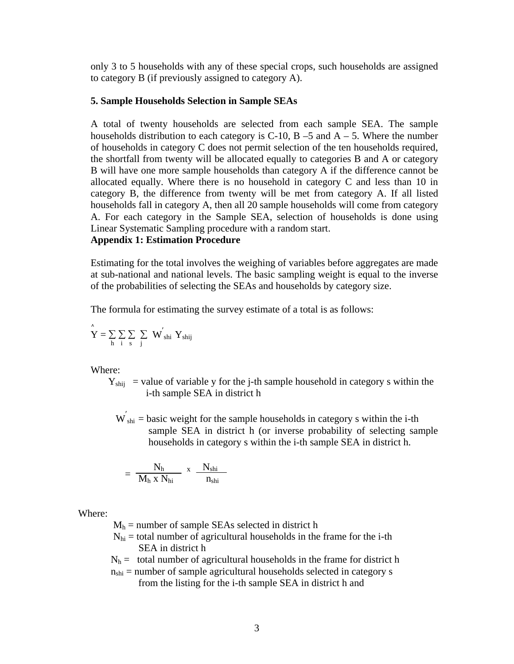only 3 to 5 households with any of these special crops, such households are assigned to category B (if previously assigned to category A).

#### **5. Sample Households Selection in Sample SEAs**

A total of twenty households are selected from each sample SEA. The sample households distribution to each category is C-10, B  $-5$  and A  $-5$ . Where the number of households in category C does not permit selection of the ten households required, the shortfall from twenty will be allocated equally to categories B and A or category B will have one more sample households than category A if the difference cannot be allocated equally. Where there is no household in category C and less than 10 in category B, the difference from twenty will be met from category A. If all listed households fall in category A, then all 20 sample households will come from category A. For each category in the Sample SEA, selection of households is done using Linear Systematic Sampling procedure with a random start.

#### **Appendix 1: Estimation Procedure**

Estimating for the total involves the weighing of variables before aggregates are made at sub-national and national levels. The basic sampling weight is equal to the inverse of the probabilities of selecting the SEAs and households by category size.

The formula for estimating the survey estimate of a total is as follows:

$$
\overset{\mathbf{A}}{\mathbf{Y}} = \sum_{h} \sum_{i} \sum_{s} \sum_{j} \mathbf{W}^{'}_{shi} \mathbf{Y}_{shij}
$$

Where:

- $Y_{\text{shii}}$  = value of variable y for the j-th sample household in category s within the i-th sample SEA in district h
	- $W_{\text{shi}}^{'} =$  basic weight for the sample households in category s within the i-th sample SEA in district h (or inverse probability of selecting sample households in category s within the i-th sample SEA in district h.

$$
~=~\frac{N_h}{M_h~x~N_{hi}}~~^x~~\frac{N_{shi}}{n_{shi}}
$$

Where:

 $M_h$  = number of sample SEAs selected in district h

- $N_{hi}$  = total number of agricultural households in the frame for the i-th SEA in district h
- $N_h$  = total number of agricultural households in the frame for district h
- $n<sub>shi</sub>$  = number of sample agricultural households selected in category s from the listing for the i-th sample SEA in district h and